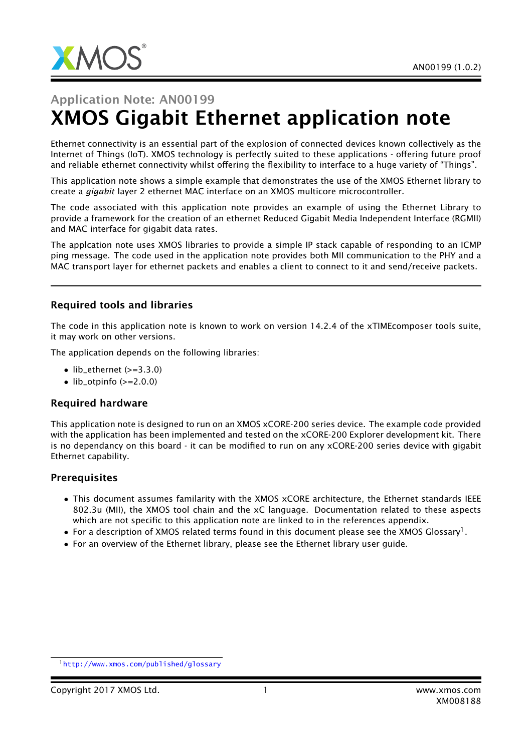

# Application Note: AN00199 XMOS Gigabit Ethernet application note

Ethernet connectivity is an essential part of the explosion of connected devices known collectively as the Internet of Things (IoT). XMOS technology is perfectly suited to these applications - offering future proof and reliable ethernet connectivity whilst offering the flexibility to interface to a huge variety of "Things".

This application note shows a simple example that demonstrates the use of the XMOS Ethernet library to create a *gigabit* layer 2 ethernet MAC interface on an XMOS multicore microcontroller.

The code associated with this application note provides an example of using the Ethernet Library to provide a framework for the creation of an ethernet Reduced Gigabit Media Independent Interface (RGMII) and MAC interface for gigabit data rates.

The applcation note uses XMOS libraries to provide a simple IP stack capable of responding to an ICMP ping message. The code used in the application note provides both MII communication to the PHY and a MAC transport layer for ethernet packets and enables a client to connect to it and send/receive packets.

### Required tools and libraries

The code in this application note is known to work on version 14.2.4 of the xTIMEcomposer tools suite, it may work on other versions.

The application depends on the following libraries:

- lib\_ethernet  $(>=3.3.0)$
- $\bullet$  lib\_otpinfo (>=2.0.0)

#### Required hardware

This application note is designed to run on an XMOS xCORE-200 series device. The example code provided with the application has been implemented and tested on the xCORE-200 Explorer development kit. There is no dependancy on this board - it can be modified to run on any xCORE-200 series device with gigabit Ethernet capability.

#### **Prerequisites**

- This document assumes familarity with the XMOS xCORE architecture, the Ethernet standards IEEE 802.3u (MII), the XMOS tool chain and the xC language. Documentation related to these aspects which are not specific to this application note are linked to in the references appendix.
- $\bullet$  For a description of XMOS related terms found in this document please see the XMOS Glossary<sup>1</sup>.
- For an overview of the Ethernet library, please see the Ethernet library user guide.

<sup>1</sup><http://www.xmos.com/published/glossary>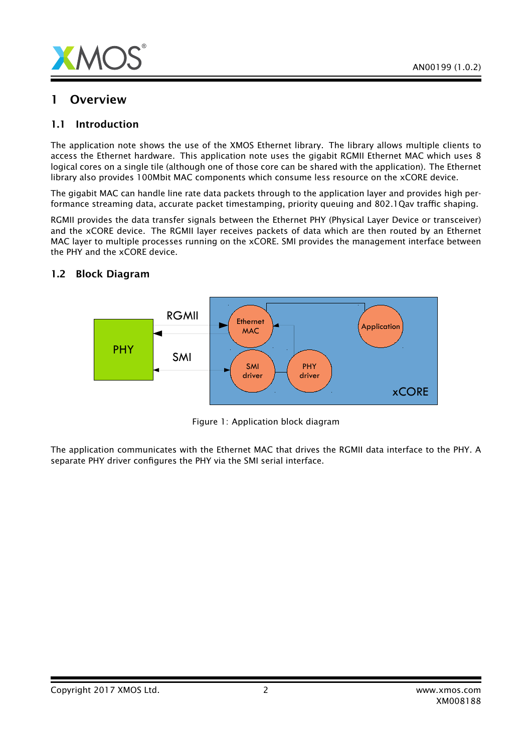

## 1 Overview

### 1.1 Introduction

The application note shows the use of the XMOS Ethernet library. The library allows multiple clients to access the Ethernet hardware. This application note uses the gigabit RGMII Ethernet MAC which uses 8 logical cores on a single tile (although one of those core can be shared with the application). The Ethernet library also provides 100Mbit MAC components which consume less resource on the xCORE device.

The gigabit MAC can handle line rate data packets through to the application layer and provides high performance streaming data, accurate packet timestamping, priority queuing and 802.1Qav traffic shaping.

RGMII provides the data transfer signals between the Ethernet PHY (Physical Layer Device or transceiver) and the xCORE device. The RGMII layer receives packets of data which are then routed by an Ethernet MAC layer to multiple processes running on the xCORE. SMI provides the management interface between the PHY and the xCORE device.



### 1.2 Block Diagram

Figure 1: Application block diagram

The application communicates with the Ethernet MAC that drives the RGMII data interface to the PHY. A separate PHY driver configures the PHY via the SMI serial interface.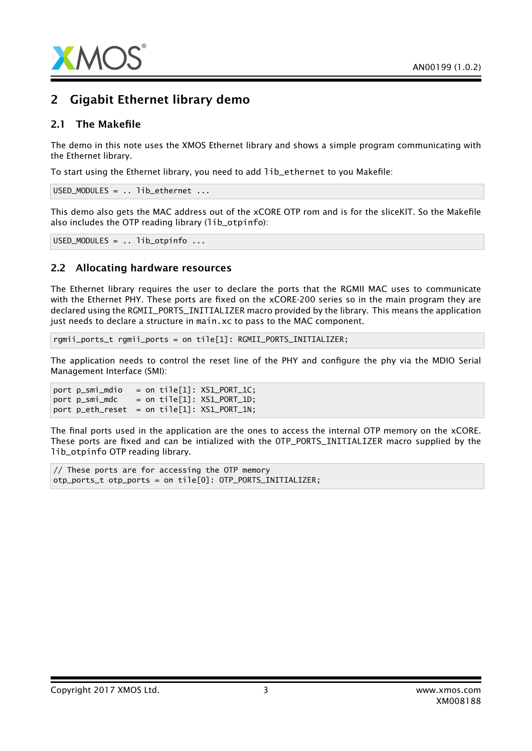

# 2 Gigabit Ethernet library demo

#### 2.1 The Makefile

The demo in this note uses the XMOS Ethernet library and shows a simple program communicating with the Ethernet library.

To start using the Ethernet library, you need to add lib\_ethernet to you Makefile:

USED\_MODULES = .. lib\_ethernet ...

This demo also gets the MAC address out of the xCORE OTP rom and is for the sliceKIT. So the Makefile also includes the OTP reading library (lib\_otpinfo):

USED\_MODULES = .. lib\_otpinfo ...

### 2.2 Allocating hardware resources

The Ethernet library requires the user to declare the ports that the RGMII MAC uses to communicate with the Ethernet PHY. These ports are fixed on the xCORE-200 series so in the main program they are declared using the RGMII\_PORTS\_INITIALIZER macro provided by the library. This means the application just needs to declare a structure in main.xc to pass to the MAC component.

rgmii\_ports\_t rgmii\_ports = on tile[1]: RGMII\_PORTS\_INITIALIZER;

The application needs to control the reset line of the PHY and configure the phy via the MDIO Serial Management Interface (SMI):

port  $p_{sim}$  mindio = on tile[1]:  $XSI_{P}ORT_{1}C$ ;  $port p\_smi_mdc = on tile[1]: XS1_PORT_1D;$ port p\_eth\_reset = on tile[1]: XS1\_PORT\_1N;

The final ports used in the application are the ones to access the internal OTP memory on the xCORE. These ports are fixed and can be intialized with the OTP\_PORTS\_INITIALIZER macro supplied by the lib\_otpinfo OTP reading library.

// These ports are for accessing the OTP memory otp\_ports\_t otp\_ports = on tile[0]: OTP\_PORTS\_INITIALIZER;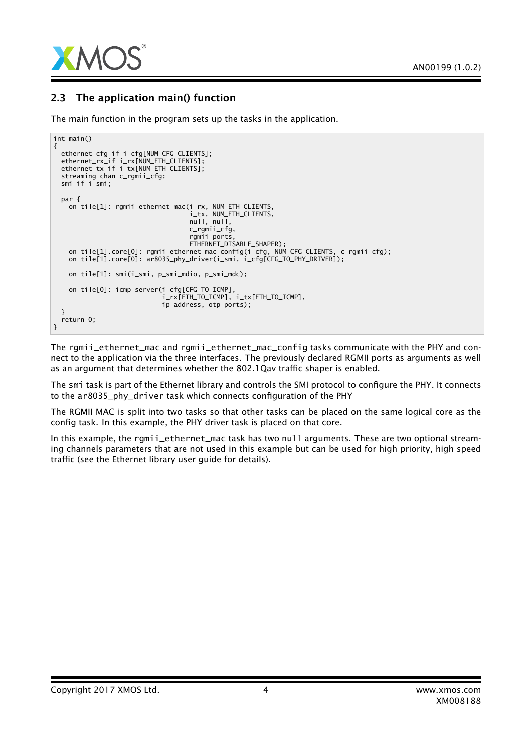

## 2.3 The application main() function

The main function in the program sets up the tasks in the application.

```
int main()
{
 ethernet_cfg_if i_cfg[NUM_CFG_CLIENTS];
  ethernet_rx_if i_rx[NUM_ETH_CLIENTS];
  ethernet_tx_if i_tx[NUM_ETH_CLIENTS];
 streaming chan c_rgmii_cfg;
 smi_if i_smi;
 par {
   on tile[1]: rgmii_ethernet_mac(i_rx, NUM_ETH_CLIENTS,
                                   i_tx, NUM_ETH_CLIENTS,
                                   null, null,
                                   c_rgmii_cfg,
                                   rgmii_ports,
                                   ETHERNET_DISABLE_SHAPER);
   on tile[1].core[0]: rgmii_ethernet_mac_config(i_cfg, NUM_CFG_CLIENTS, c_rgmii_cfg);
   on tile[1].core[0]: ar8035_phy_driver(i_smi, i_cfg[CFG_TO_PHY_DRIVER]);
   on tile[1]: smi(i_smi, p_smi_mdio, p_smi_mdc);
    on tile[0]: icmp_server(i_cfg[CFG_TO_ICMP],
                             i_rx[ETH_TO_ICMP], i_tx[ETH_TO_ICMP],
                            ip_address, otp_ports);
 }
 return 0;
}
```
The ramii ethernet mac and ramii ethernet mac config tasks communicate with the PHY and connect to the application via the three interfaces. The previously declared RGMII ports as arguments as well as an argument that determines whether the 802.1Qav traffic shaper is enabled.

The smi task is part of the Ethernet library and controls the SMI protocol to configure the PHY. It connects to the ar8035\_phy\_driver task which connects configuration of the PHY

The RGMII MAC is split into two tasks so that other tasks can be placed on the same logical core as the config task. In this example, the PHY driver task is placed on that core.

In this example, the rgmii\_ethernet\_mac task has two null arguments. These are two optional streaming channels parameters that are not used in this example but can be used for high priority, high speed traffic (see the Ethernet library user guide for details).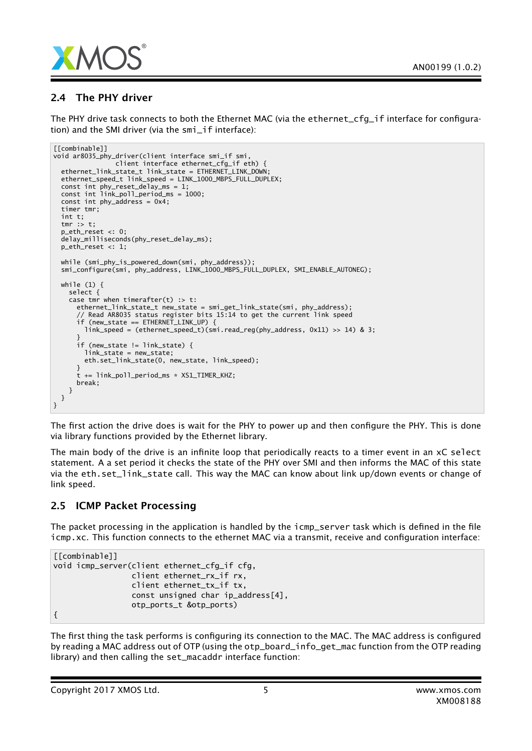

## 2.4 The PHY driver

The PHY drive task connects to both the Ethernet MAC (via the ethernet\_cfg\_if interface for configuration) and the SMI driver (via the smi\_if interface):

```
[[combinable]]
void ar8035_phy_driver(client interface smi_if smi,
                client interface ethernet_cfg_if eth) {
 ethernet_link_state_t link_state = ETHERNET_LINK_DOWN;
 ethernet_speed_t link_speed = LINK_1000_MBPS_FULL_DUPLEX;
 const int phy_reset_delay_ms = 1;
 const int link_poll_period_ms = 1000;
 const int phy_address = 0x4;
 timer tmr;
 int t;
 tmr :> t;
 p_eth_reset <: 0;
 delay_milliseconds(phy_reset_delay_ms);
 p_eth_reset <: 1;
 while (smi_phy_is_powered_down(smi, phy_address));
 smi_configure(smi, phy_address, LINK_1000_MBPS_FULL_DUPLEX, SMI_ENABLE_AUTONEG);
 while (1) {
    select {
    case tmr when timerafter(t) : t:
      ethernet_link_state_t new_state = smi_get_link_state(smi, phy_address);
      // Read AR8035 status register bits 15:14 to get the current link speed
      if (new_state == ETHERNET_LINK_UP) {
        link_speed = (ethernet_speed_t)(smi.read_reg(phy_address, 0x11) >> 14) & 3;
      }
      if (new_state != link_state) {
        link_state = new_state;
       eth.set_link_state(0, new_state, link_speed);
      }
      t += link_poll_period_ms * XS1_TIMER_KHZ;
      break;
   }
 }
}
```
The first action the drive does is wait for the PHY to power up and then configure the PHY. This is done via library functions provided by the Ethernet library.

The main body of the drive is an infinite loop that periodically reacts to a timer event in an xC select statement. A a set period it checks the state of the PHY over SMI and then informs the MAC of this state via the eth.set\_link\_state call. This way the MAC can know about link up/down events or change of link speed.

### 2.5 ICMP Packet Processing

The packet processing in the application is handled by the icmp\_server task which is defined in the file icmp.xc. This function connects to the ethernet MAC via a transmit, receive and configuration interface:

```
[[combinable]]
void icmp_server(client ethernet_cfg_if cfg,
                 client ethernet_rx_if rx,
                 client ethernet_tx_if tx,
                 const unsigned char ip_address[4],
                 otp_ports_t &otp_ports)
{
```
The first thing the task performs is configuring its connection to the MAC. The MAC address is configured by reading a MAC address out of OTP (using the otp\_board\_info\_get\_mac function from the OTP reading library) and then calling the set\_macaddr interface function: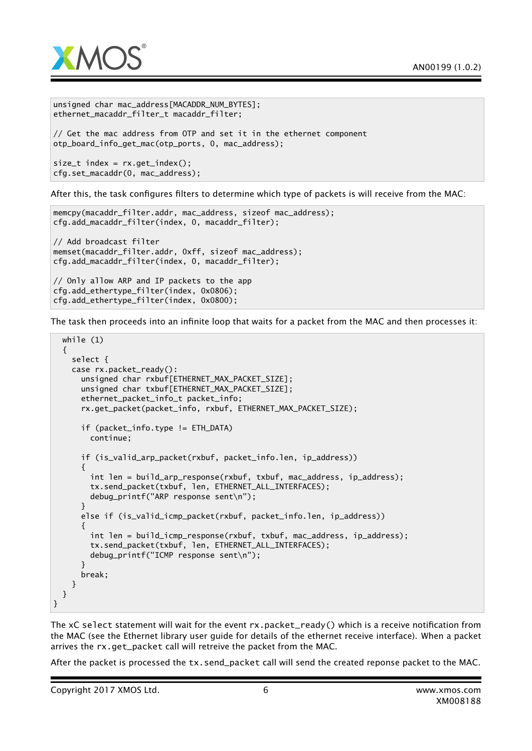

```
unsigned char mac_address[MACADDR_NUM_BYTES];
ethernet_macaddr_filter_t macaddr_filter;
// Get the mac address from OTP and set it in the ethernet component
otp_board_info_get_mac(otp_ports, 0, mac_address);
size_t index = rx.get_index();
cfg.set_macaddr(0, mac_address);
```
After this, the task configures filters to determine which type of packets is will receive from the MAC:

```
memcpy(macaddr_filter.addr, mac_address, sizeof mac_address);
cfg.add_macaddr_filter(index, 0, macaddr_filter);
// Add broadcast filter
memset(macaddr_filter.addr, 0xff, sizeof mac_address);
cfg.add_macaddr_filter(index, 0, macaddr_filter);
// Only allow ARP and IP packets to the app
cfg.add_ethertype_filter(index, 0x0806);
cfg.add_ethertype_filter(index, 0x0800);
```
The task then proceeds into an infinite loop that waits for a packet from the MAC and then processes it:

```
while (1)
  {
    select {
    case rx.packet_ready():
     unsigned char rxbuf[ETHERNET_MAX_PACKET_SIZE];
     unsigned char txbuf[ETHERNET_MAX_PACKET_SIZE];
      ethernet_packet_info_t packet_info;
      rx.get_packet(packet_info, rxbuf, ETHERNET_MAX_PACKET_SIZE);
     if (packet_info.type != ETH_DATA)
        continue;
     if (is_valid_arp_packet(rxbuf, packet_info.len, ip_address))
      {
        int len = build_arp_response(rxbuf, txbuf, mac_address, ip_address);
        tx.send_packet(txbuf, len, ETHERNET_ALL_INTERFACES);
        debug_printf("ARP response sent\n");
      }
     else if (is_valid_icmp_packet(rxbuf, packet_info.len, ip_address))
      {
        int len = build_icmp_response(rxbuf, txbuf, mac_address, ip_address);
        tx.send_packet(txbuf, len, ETHERNET_ALL_INTERFACES);
        debug_printf("ICMP response sent\n");
      }
     break;
    }
 }
}
```
The xC select statement will wait for the event rx.packet\_ready() which is a receive notification from the MAC (see the Ethernet library user guide for details of the ethernet receive interface). When a packet arrives the rx.get\_packet call will retreive the packet from the MAC.

After the packet is processed the tx.send\_packet call will send the created reponse packet to the MAC.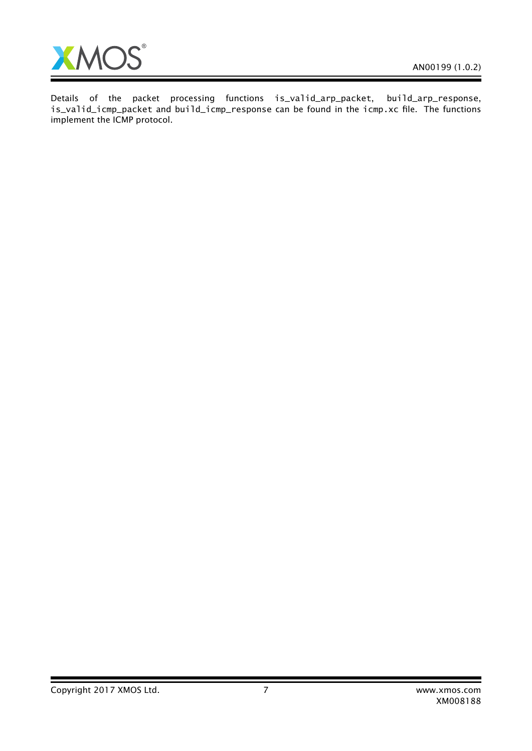Ξ



Details of the packet processing functions is\_valid\_arp\_packet, build\_arp\_response, is\_valid\_icmp\_packet and build\_icmp\_response can be found in the icmp.xc file. The functions implement the ICMP protocol.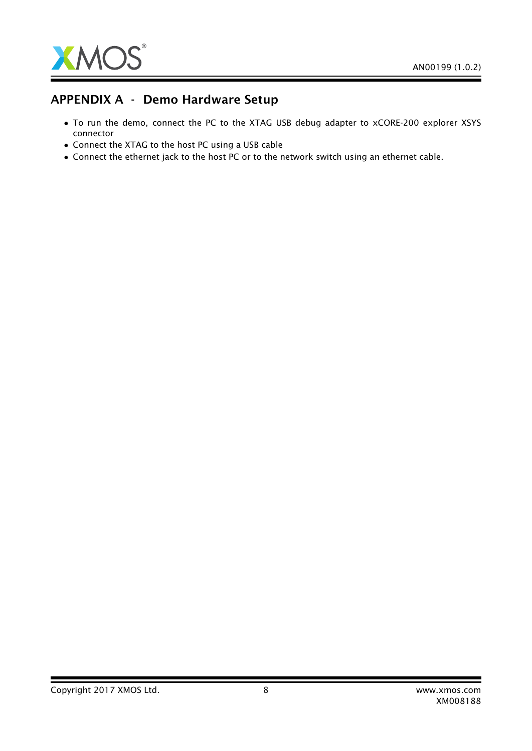

## APPENDIX A - Demo Hardware Setup

- To run the demo, connect the PC to the XTAG USB debug adapter to xCORE-200 explorer XSYS connector
- Connect the XTAG to the host PC using a USB cable
- Connect the ethernet jack to the host PC or to the network switch using an ethernet cable.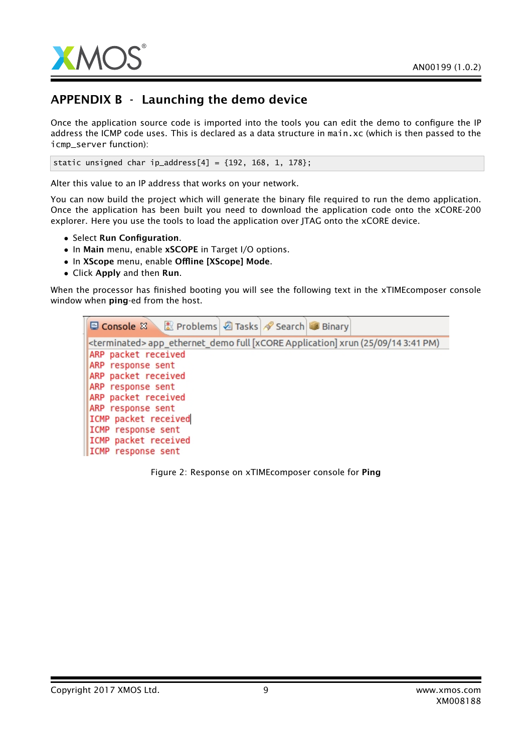

# APPENDIX B - Launching the demo device

Once the application source code is imported into the tools you can edit the demo to configure the IP address the ICMP code uses. This is declared as a data structure in main.xc (which is then passed to the icmp\_server function):

static unsigned char ip\_address[4] =  ${192, 168, 1, 178}$ ;

Alter this value to an IP address that works on your network.

You can now build the project which will generate the binary file required to run the demo application. Once the application has been built you need to download the application code onto the xCORE-200 explorer. Here you use the tools to load the application over JTAG onto the xCORE device.

- Select Run Configuration.
- In Main menu, enable xSCOPE in Target I/O options.
- In XScope menu, enable Offline [XScope] Mode.
- Click Apply and then Run.

When the processor has finished booting you will see the following text in the xTIMEcomposer console window when **ping**-ed from the host.



<span id="page-8-0"></span>Figure 2: Response on xTIMEcomposer console for Ping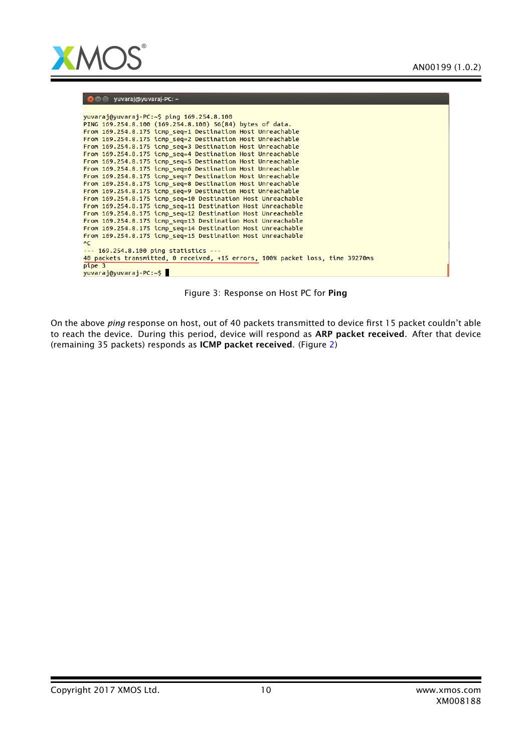

#### **O** O yuvaraj@yuvaraj-PC: ~

| yuvaraj@yuvaraj-PC:~\$ ping 169.254.8.100                                      |
|--------------------------------------------------------------------------------|
| PING 169.254.8.100 (169.254.8.100) 56(84) bytes of data.                       |
| From 169.254.8.175 icmp_seq=1 Destination Host Unreachable                     |
| From 169.254.8.175 icmp seq=2 Destination Host Unreachable                     |
| From 169.254.8.175 icmp seq=3 Destination Host Unreachable                     |
|                                                                                |
| From 169.254.8.175 icmp_seq=4 Destination Host Unreachable                     |
| From 169.254.8.175 icmp_seq=5 Destination Host Unreachable                     |
| From 169.254.8.175 icmp seq=6 Destination Host Unreachable                     |
| From 169.254.8.175 icmp seq=7 Destination Host Unreachable                     |
| From 169.254.8.175 icmp seq=8 Destination Host Unreachable                     |
| From 169.254.8.175 icmp seq=9 Destination Host Unreachable                     |
| From 169.254.8.175 icmp seg=10 Destination Host Unreachable                    |
| From 169.254.8.175 icmp seq=11 Destination Host Unreachable                    |
| From 169.254.8.175 icmp seq=12 Destination Host Unreachable                    |
| From 169.254.8.175 icmp seq=13 Destination Host Unreachable                    |
| From 169.254.8.175 icmp seq=14 Destination Host Unreachable                    |
| From 169.254.8.175 icmp seq=15 Destination Host Unreachable                    |
| $\overline{C}$                                                                 |
| $\cdots$ 169.254.8.100 ping statistics $\cdots$                                |
| 40 packets transmitted, 0 received, +15 errors, 100% packet loss, time 39270ms |
| pipe 3                                                                         |
| yuvaraj@yuvaraj-PC:~\$                                                         |

Figure 3: Response on Host PC for Ping

On the above *ping* response on host, out of 40 packets transmitted to device first 15 packet couldn't able to reach the device. During this period, device will respond as ARP packet received. After that device (remaining 35 packets) responds as ICMP packet received. (Figure [2\)](#page-8-0)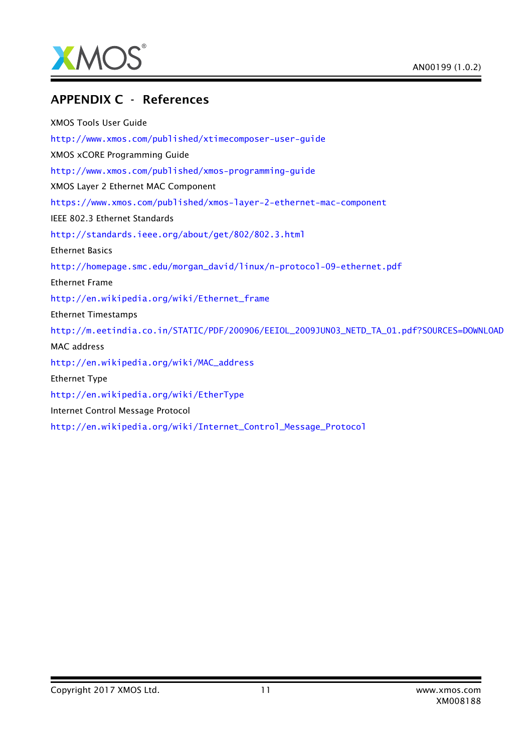

## APPENDIX C - References

XMOS Tools User Guide <http://www.xmos.com/published/xtimecomposer-user-guide> XMOS xCORE Programming Guide <http://www.xmos.com/published/xmos-programming-guide> XMOS Layer 2 Ethernet MAC Component <https://www.xmos.com/published/xmos-layer-2-ethernet-mac-component> IEEE 802.3 Ethernet Standards <http://standards.ieee.org/about/get/802/802.3.html> Ethernet Basics [http://homepage.smc.edu/morgan\\_david/linux/n-protocol-09-ethernet.pdf](http://homepage.smc.edu/morgan_david/linux/n-protocol-09-ethernet.pdf) Ethernet Frame [http://en.wikipedia.org/wiki/Ethernet\\_frame](http://en.wikipedia.org/wiki/Ethernet_frame) Ethernet Timestamps [http://m.eetindia.co.in/STATIC/PDF/200906/EEIOL\\_2009JUN03\\_NETD\\_TA\\_01.pdf?SOURCES=DOWNLOAD](http://m.eetindia.co.in/STATIC/PDF/200906/EEIOL_2009JUN03_NETD_TA_01.pdf?SOURCES=DOWNLOAD) MAC address [http://en.wikipedia.org/wiki/MAC\\_address](http://en.wikipedia.org/wiki/MAC_address) Ethernet Type <http://en.wikipedia.org/wiki/EtherType> Internet Control Message Protocol [http://en.wikipedia.org/wiki/Internet\\_Control\\_Message\\_Protocol](http://en.wikipedia.org/wiki/Internet_Control_Message_Protocol)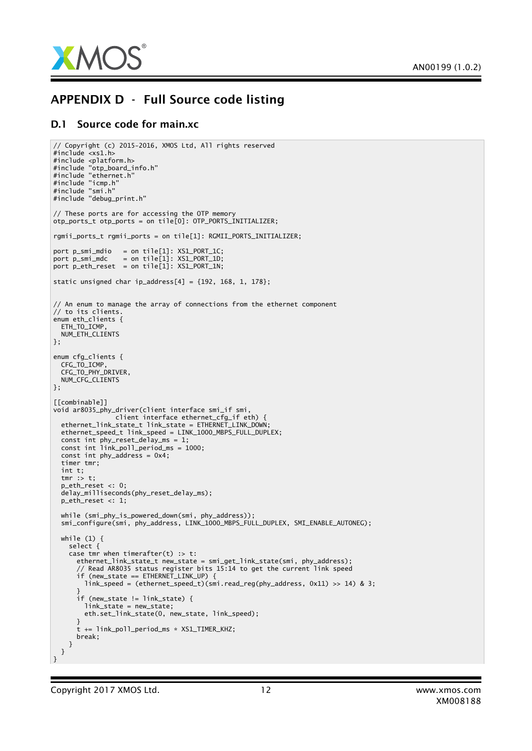

## APPENDIX D - Full Source code listing

// Copyright (c) 2015-2016, XMOS Ltd, All rights reserved

#### D.1 Source code for main.xc

```
#include <xs1.h>
#include <platform.h>
#include "otp_board_info.h"
#include "ethernet.h"
#include "icmp.h"
#include "smi.h"
#include "debug_print.h"
// These ports are for accessing the OTP memory
otp_ports_t otp_ports = on tile[0]: OTP_PORTS_INITIALIZER;
rgmii_ports_t rgmii_ports = on tile[1]: RGMII_PORTS_INITIALIZER;
port p_smi_mdio = on tile[1]: XS1_PORT_1C;
port p\_smi_mdc = on tile[1]: XSL_PORT_1;port p_eth_reset = on tile[1]: XS1_PORT_1N;
static unsigned char ip_address[4] = {192, 168, 1, 178};// An enum to manage the array of connections from the ethernet component
// to its clients.
enum eth_clients {
  ETH_TO_ICMP
  NUM_ETH_CLIENTS
};
enum cfg_clients {
   CFG_TO_ICMP,
   CFG_TO_PHY_DRIVER,
  NUM_CFG_CLIENTS
};
[[combinable]]
void ar8035_phy_driver(client interface smi_if smi,
                client interface ethernet_cfg_if eth) {
  ethernet_link_state_t link_state = ETHERNET_LINK_DOWN;
  ethernet_speed_t link_speed = LINK_1000_MBPS_FULL_DUPLEX;
   const int phy_reset_delay_ms = 1;
   const int link_poll_period_ms = 1000;
  const int phy_address = 0x4;
  timer tmr;
  int t;
  tmr : t;
  p_eth_reset <: 0;
  delay_milliseconds(phy_reset_delay_ms);
  p_eth_reset <: 1;
   while (smi_phy_is_powered_down(smi, phy_address));
   smi_configure(smi, phy_address, LINK_1000_MBPS_FULL_DUPLEX, SMI_ENABLE_AUTONEG);
  while (1) {
    select {
    case tmr when timerafter(t) \Rightarrow t:
       ethernet_link_state_t new_state = smi_get_link_state(smi, phy_address);
       // Read AR8035 status register bits 15:14 to get the current link speed
       if (new_state == ETHERNET_LINK_UP) {
        link speed = (ethernet speed t)(smi.read reg(phy address, 0x11) >> 14) & 3;
       }
       if (new_state != link_state) {
        link_state = new_state;
        eth.set_link_state(0, new_state, link_speed);
      }
      t += link_poll_period_ms * XSL_TIMER_KHZ;
      break;
    }
  }
\vert }
```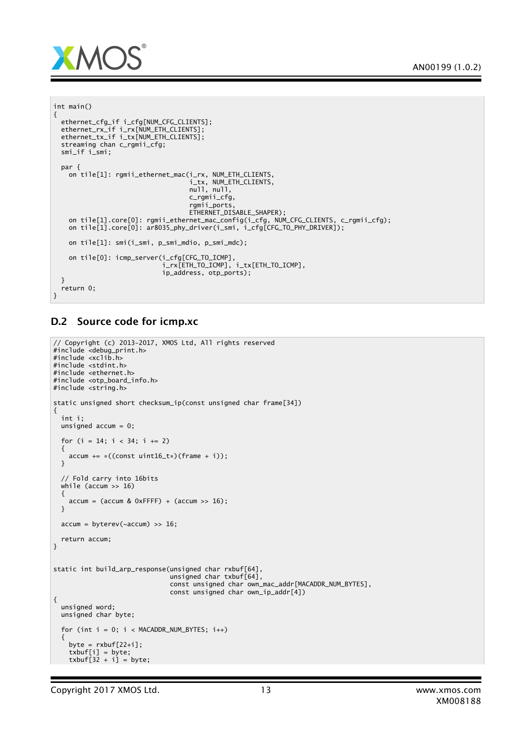

int main()

```
{
  ethernet_cfg_if i_cfg[NUM_CFG_CLIENTS];
  ethernet_rx_if i_rx[NUM_ETH_CLIENTS];
  ethernet_tx_if i_tx[NUM_ETH_CLIENTS];
 streaming chan c_rgmii_cfg;
 smi_if i_smi;
 par {
   on tile[1]: rgmii_ethernet_mac(i_rx, NUM_ETH_CLIENTS,
                                    i_tx, NUM_ETH_CLIENTS,
                                    null, null,
                                    c_rgmii_cfg,
                                    rgmii_ports,
                                    ETHERNET_DISABLE_SHAPER);
    on tile[1].core[0]: rgmii_ethernet_mac_config(i_cfg, NUM_CFG_CLIENTS, c_rgmii_cfg);
    on tile[1].core[0]: ar8035_phy_driver(i_smi, i_cfg[CFG_TO_PHY_DRIVER]);
   on tile[1]: smi(i_smi, p_smi_mdio, p_smi_mdc);
    on tile[0]: icmp_server(i_cfg[CFG_TO_ICMP],
                             i_rx[ETH_TO_ICMP], i_tx[ETH_TO_ICMP],
                            ip_address, otp_ports);
  }
  return 0;
}
```
### D.2 Source code for icmp.xc

```
// Copyright (c) 2013-2017, XMOS Ltd, All rights reserved
#include <debug_print.h>
#include <xclib.h>
#include <stdint.h>
#include <ethernet.h>
#include <otp_board_info.h>
#include <string.h>
static unsigned short checksum_ip(const unsigned char frame[34])
{
  int i;
 unsigned accum = 0;
  for (i = 14; i < 34; i += 2){
   accum += *((const uint16 t*)(frame + i));
 }
  // Fold carry into 16bits
 while (accum >> 16)
  {
   \text{accum} = (\text{accum} \& \text{0xFFFF}) + (\text{accum} >> 16);}
 \text{accum} = \text{byterev}(\sim \text{accum}) \gg 16;return accum;
}
static int build_arp_response(unsigned char rxbuf[64],
                                unsigned char txbuf[64],
                                const unsigned char own_mac_addr[MACADDR_NUM_BYTES],
                                const unsigned char own_ip_addr[4])
{
 unsigned word;
  unsigned char byte;
  for (int i = 0; i < MACADDR_NUM_BYTES; i++){
    byte = rxbuf[22+i];txbuf[i] = byte;
    txbuf[32 + i] = byte;
```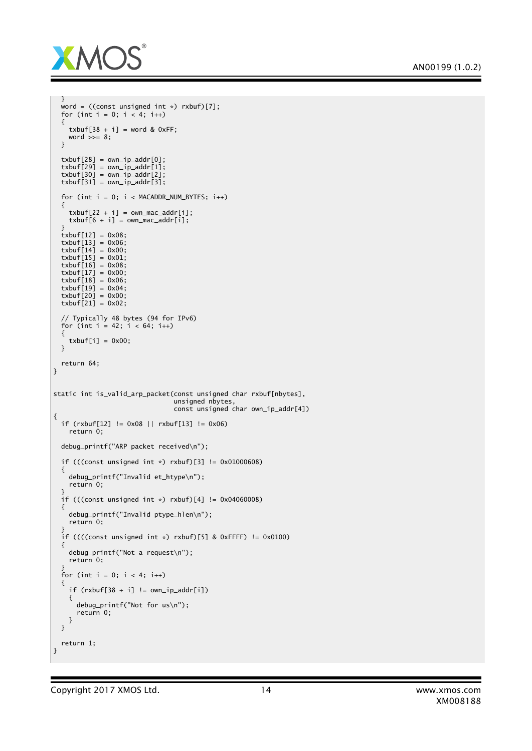

```
}
  word = ((const unsigned int *) rxbuf)[7];
 for (int i = 0; i < 4; i++)
 {
   txbuf[38 + i] = word & OxFF;word \gg= 8;
 }
 txbuf[28] = own-ip\_addr[0];txbuf[29] = own-ip\_addr[1];txbuf[30] = own-ip\_addr[2];txbuf[31] = own-ip\_addr[3];for (int i = 0; i < MACADDR_NUM_BYTES; i++){
   txbuf[22 + i] = own_max\_addr[i];txbuf[6 + i] = own_max\_addr[i];}
  txbuf[12] = 0x08;txbuf[13] = 0x06;txbuf\overline{[14]} = 0x00;
 txbuf[15] = 0x01;txbuf[16] = 0x08;txbuf\overline{[17]} = 0x00;
 txbuf[18] = 0 \times 06;
 txbuf[19] = 0x04;txbuf[20] = 0x00;txbuf[21] = 0x02;// Typically 48 bytes (94 for IPv6)
 for (int i = 42; i < 64; i++){
   txbuf[i] = 0x00;}
 return 64;
}
static int is_valid_arp_packet(const unsigned char rxbuf[nbytes],
                                unsigned nbytes,
                                const unsigned char own_ip_addr[4])
{
 if (rxbuf[12] != 0x08 || rxbuf[13] != 0x06)
    return 0;
 debug_printf("ARP packet received\n");
 if (((const unsigned int *) rxbuf)[3] != 0x01000608)
 {
    debug_printf("Invalid et_htype\n");
    return 0;
 }
 if (((const unsigned int *) rxbuf)[4] != 0x04060008)
 {
   debug_printf("Invalid ptype_hlen\n");
   return 0;
  }
 if ((((const unsigned int *) rxbuf)[5] & 0xFFFF) != 0x0100)
 {
    debug_printf("Not a request\n");
   return 0;
  }
  for (int i = 0; i < 4; i++){
    if (rxbuf[38 + i] != own_ip\_addr[i]){
      debug_printf("Not for us\n");
      return 0;
   }
 }
 return 1;
}
```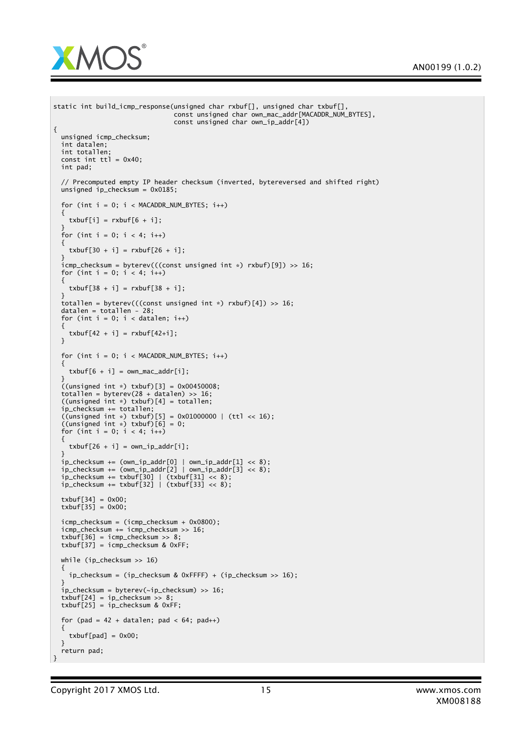

```
static int build_icmp_response(unsigned char rxbuf[], unsigned char txbuf[],
                                 const unsigned char own_mac_addr[MACADDR_NUM_BYTES],
                                 const unsigned char own_ip_addr[4])
{
  unsigned icmp_checksum;
  int datalen;
  int totallen;
  const int \text{tt} = 0x40;
  int pad;
  // Precomputed empty IP header checksum (inverted, bytereversed and shifted right)
  unsigned ip_checksum = 0x0185;
  for (int i = 0; i < MACADDR_NUM_BYTES; i++){
    txbuf[i] = rxbuf[6 + i];}
  for (int i = 0; i < 4; i++){
    txbuf[30 + i] = rxbuf[26 + i];}
  icmp_checksum = byterev(((const unsigned int *) rxbuf)[9]) >> 16;
  for (int i = 0; i < 4; i+1)
  {
    txbuf[38 + i] = rxbuf[38 + i];}
  totallen = byterev(((const unsigned int *) rxbuf)[4]) >> 16;
  datalen = totallen - 28;
  for (int i = 0; i < datalen; i++){
    txbuf[42 + i] = rxbuf[42+i];}
  for (int i = 0; i < MACADDR_NUM_BYTES; i++){
    txbuf[6 + i] = own_max\_addr[i];}
  ((unsigned int *) txbuf)[3] = 0x00450008;
totallen = byterev(28 + datalen) >> 16;
  ((unsigned int *) txbuf)[4] = totallen;
  ip checksum += totallen:
  ((\text{unsigned int }*) \text{txbuf}) [5] = 0x01000000 | (ttl << 16);((unsigned int *) txbuf)[6] = 0;<br>for (int i = 0; i < 4; i++)
  {
    txbuf[26 + i] = own_ip\_addr[i];}
  ip_checksum += (own_ip_addr[0] | own_ip_addr[1] << 8);
  ip_checksum += (own_ip_addr[2] | own_ip_addr[3] << 8);
  ip_checksum += txbuf[30] | (txbuf[31] << 8);
  ip_checksum += txbuf[32] | (txbuf[33] << 8);
  txbuf[34] = 0x00;txbuf[35] = 0x00;icmp_checksum = (icmp_checksum + 0x0800);
  icmp_checksum += icmp_checksum >> 16;
  txbuf[36] = icmp\_checksum \gg 8;txbuf[37] = icmp\_checksum & 0xFF;while (ip_checksum >> 16)
  {
    ip\_checksum = (ip\_checksum & QXFFFF) + (ip\_checksum > 16);}
  ip_checksum = byterev(~ip_checksum) >> 16;
  txbuf[24] = ip\_checksum >> 8;txbuf[25] = ip\_checksum & 0xFF;for (pad = 42 + datalen; pad < 64; pad++)
  {
    txbuf[pad] = 0x00;}
  return pad;
}
```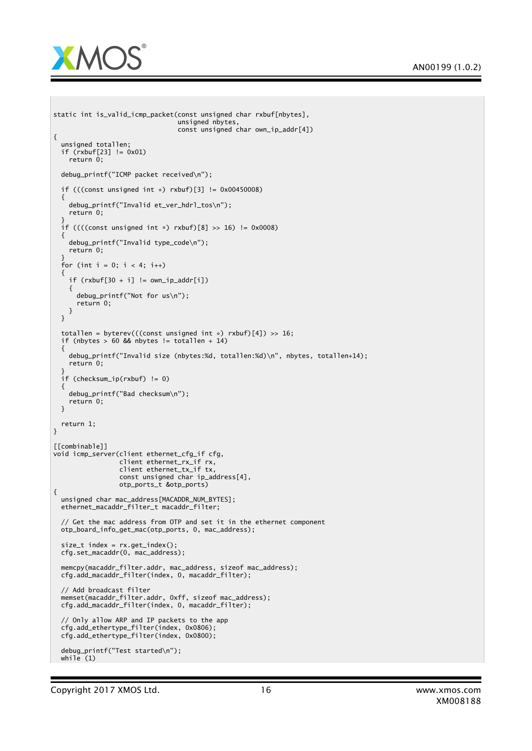

```
static int is_valid_icmp_packet(const unsigned char rxbuf[nbytes],
                                unsigned nbytes,
                                const unsigned char own_ip_addr[4])
{
 unsigned totallen;
  if (rxbuf[23] != 0x01)
    return 0;
 debug_printf("ICMP packet received\n");
 if (((const unsigned int *) rxbuf)[3] != 0x00450008)
 {
    debug_printf("Invalid et_ver_hdrl_tos\n");
    return 0;
  }
 if ((((const unsigned int *) rxbuf)[8] >> 16) != 0x0008)
 {
    debug_printf("Invalid type_code\n");
   return 0;
  }
  for (int i = 0; i < 4; i++){
    if (rxbuf[30 + i] := own_ip\_addr[i]){
      debug_printf("Not for us\n");
      return 0;
   }
 }
 totallen = byterev(((const unsigned int *) rxbuf)[4]) >> 16;
 if (nbytes > 60 && nbytes != totallen + 14)
 {
    debug_printf("Invalid size (nbytes:%d, totallen:%d)\n", nbytes, totallen+14);
    return 0;
  }
  if (checksum_ip(rxbuf) != 0)
 {
   debug_printf("Bad checksum\n");
    return 0;
 }
 return 1;
}
[[combinable]]
void icmp_server(client ethernet_cfg_if cfg,
                 client ethernet_rx_if rx,
                 client ethernet_tx_if tx,
                 const unsigned char ip_address[4],
                 otp_ports_t &otp_ports)
{
 unsigned char mac_address[MACADDR_NUM_BYTES];
 ethernet_macaddr_filter_t macaddr_filter;
 // Get the mac address from OTP and set it in the ethernet component
 otp_board_info_get_mac(otp_ports, 0, mac_address);
 size_t index = rx.get_index();
 cfg.set_macaddr(0, mac_address);
  memcpy(macaddr_filter.addr, mac_address, sizeof mac_address);
  cfg.add_macaddr_filter(index, 0, macaddr_filter);
 // Add broadcast filter
 memset(macaddr_filter.addr, 0xff, sizeof mac_address);
 cfg.add_macaddr_filter(index, 0, macaddr_filter);
 // Only allow ARP and IP packets to the app
 cfg.add_ethertype_filter(index, 0x0806);
 cfg.add_ethertype_filter(index, 0x0800);
 debug_printf("Test started\n");
 while (1)
```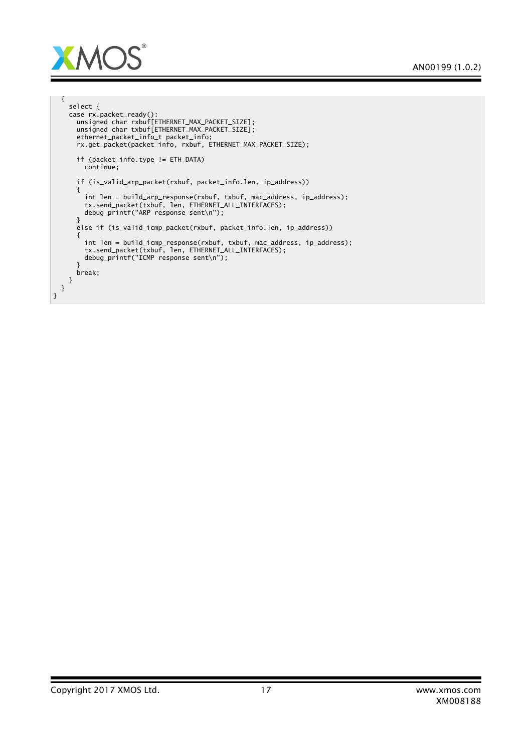

```
{
    select {
    case rx.packet_ready():
      unsigned char rxbuf[ETHERNET_MAX_PACKET_SIZE];
      unsigned char txbuf[ETHERNET_MAX_PACKET_SIZE];
      ethernet_packet_info_t packet_info;
      rx.get_packet(packet_info, rxbuf, ETHERNET_MAX_PACKET_SIZE);
      if (packet_info.type != ETH_DATA)
        continue;
      if (is_valid_arp_packet(rxbuf, packet_info.len, ip_address))
      {
        int len = build_arp_response(rxbuf, txbuf, mac_address, ip_address);
        tx.send_packet(txbuf, len, ETHERNET_ALL_INTERFACES);
        debug_printf("ARP response sent\n");
      }
      else if (is_valid_icmp_packet(rxbuf, packet_info.len, ip_address))
      {
        int len = build_icmp_response(rxbuf, txbuf, mac_address, ip_address);
        tx.send_packet(txbuf, len, ETHERNET_ALL_INTERFACES);
        debug_printf("ICMP response sent\n");
      }
      break;
    }
  }
}
```